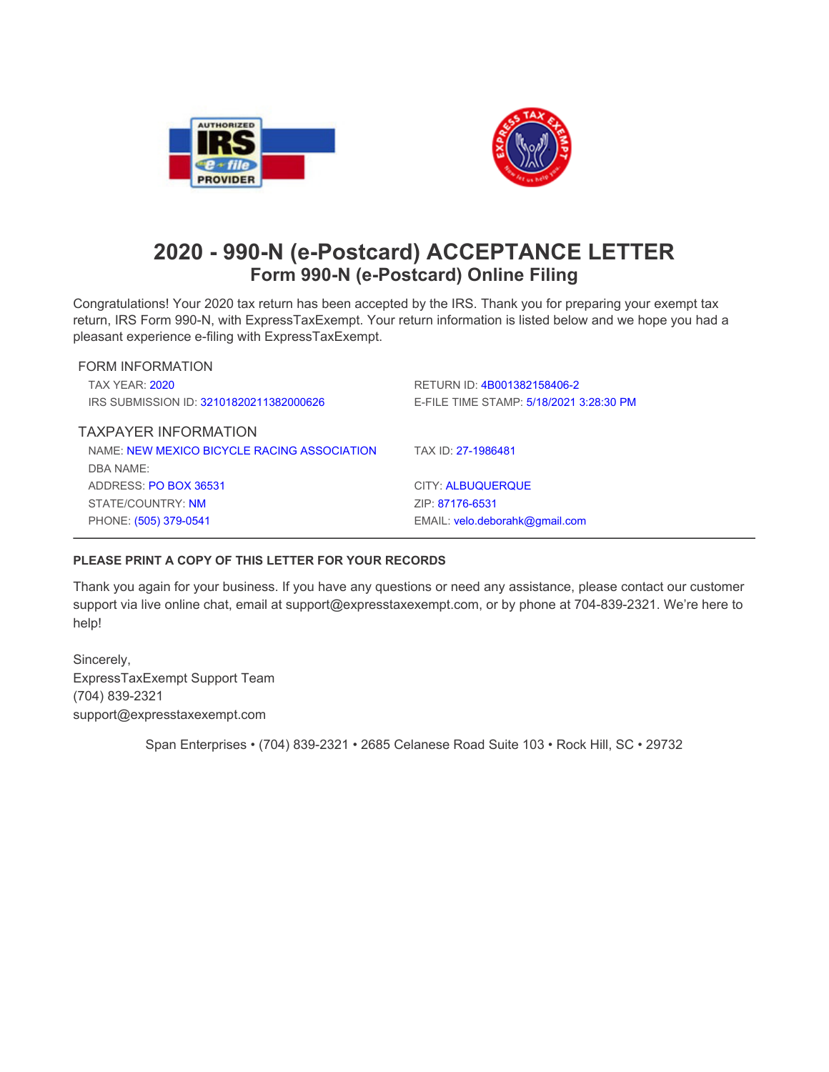



## **2020 - 990-N (e-Postcard) ACCEPTANCE LETTER Form 990-N (e-Postcard) Online Filing**

Congratulations! Your 2020 tax return has been accepted by the IRS. Thank you for preparing your exempt tax return, IRS Form 990-N, with ExpressTaxExempt. Your return information is listed below and we hope you had a **pleasant experience e-filing with ExpressTaxExempt.**

| <b>FORM INFORMATION</b>                     |                                         |
|---------------------------------------------|-----------------------------------------|
| <b>TAX YFAR: 2020</b>                       | RETURN ID: 4B001382158406-2             |
| IRS SUBMISSION ID: 32101820211382000626     | E-FILE TIME STAMP: 5/18/2021 3:28:30 PM |
| <b>TAXPAYER INFORMATION</b>                 |                                         |
| NAME: NEW MEXICO BICYCLE RACING ASSOCIATION | TAX ID: 27-1986481                      |
| DBA NAME:                                   |                                         |
| ADDRESS: PO BOX 36531                       | <b>CITY: ALBUQUERQUE</b>                |
| STATE/COUNTRY: NM                           | ZIP: 87176-6531                         |
| PHONE: (505) 379-0541                       | EMAIL: velo.deborahk@gmail.com          |

## **PLEASE PRINT A COPY OF THIS LETTER FOR YOUR RECORDS**

Thank you again for your business. If you have any questions or need any assistance, please contact our customer **support via live online chat, email at support@expresstaxexempt.com, or by phone at 704-839-2321. We're here to help!**

**Sincerely, ExpressTaxExempt Support Team (704) 839-2321 support@expresstaxexempt.com**

**Span Enterprises • (704) 839-2321 • 2685 Celanese Road Suite 103 • Rock Hill, SC • 29732**